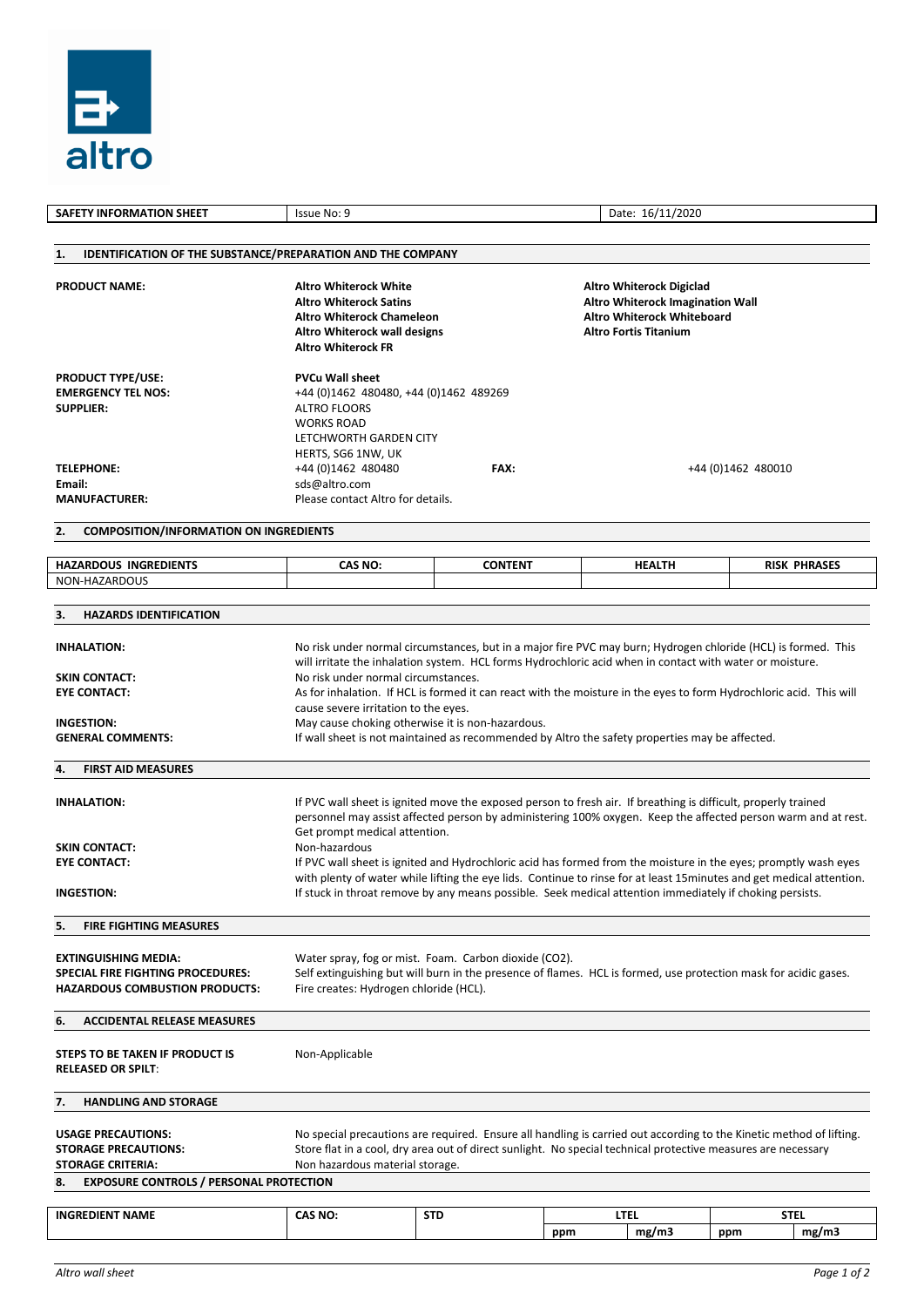

| <b>SAFETY INFORMATION SHEET</b>                                                                                                                                                                                                                                                                                                                                                                                   | Issue No: 9<br>Date: 16/11/2020                                                                                                                                                                                                                                                                                                                                                                                                                                                                                                                                                                                                           |                                                                                                                                          |     |                      |                     |                      |  |  |  |  |
|-------------------------------------------------------------------------------------------------------------------------------------------------------------------------------------------------------------------------------------------------------------------------------------------------------------------------------------------------------------------------------------------------------------------|-------------------------------------------------------------------------------------------------------------------------------------------------------------------------------------------------------------------------------------------------------------------------------------------------------------------------------------------------------------------------------------------------------------------------------------------------------------------------------------------------------------------------------------------------------------------------------------------------------------------------------------------|------------------------------------------------------------------------------------------------------------------------------------------|-----|----------------------|---------------------|----------------------|--|--|--|--|
|                                                                                                                                                                                                                                                                                                                                                                                                                   |                                                                                                                                                                                                                                                                                                                                                                                                                                                                                                                                                                                                                                           |                                                                                                                                          |     |                      |                     |                      |  |  |  |  |
| <b>IDENTIFICATION OF THE SUBSTANCE/PREPARATION AND THE COMPANY</b><br>1.                                                                                                                                                                                                                                                                                                                                          |                                                                                                                                                                                                                                                                                                                                                                                                                                                                                                                                                                                                                                           |                                                                                                                                          |     |                      |                     |                      |  |  |  |  |
| <b>PRODUCT NAME:</b>                                                                                                                                                                                                                                                                                                                                                                                              | <b>Altro Whiterock White</b><br><b>Altro Whiterock Satins</b><br><b>Altro Whiterock Chameleon</b><br>Altro Whiterock wall designs<br><b>Altro Whiterock FR</b>                                                                                                                                                                                                                                                                                                                                                                                                                                                                            | <b>Altro Whiterock Digiclad</b><br>Altro Whiterock Imagination Wall<br><b>Altro Whiterock Whiteboard</b><br><b>Altro Fortis Titanium</b> |     |                      |                     |                      |  |  |  |  |
| <b>PRODUCT TYPE/USE:</b><br><b>EMERGENCY TEL NOS:</b><br><b>SUPPLIER:</b><br><b>TELEPHONE:</b>                                                                                                                                                                                                                                                                                                                    | <b>PVCu Wall sheet</b><br>+44 (0)1462 480480, +44 (0)1462 489269<br><b>ALTRO FLOORS</b><br><b>WORKS ROAD</b><br>LETCHWORTH GARDEN CITY<br>HERTS, SG6 1NW, UK                                                                                                                                                                                                                                                                                                                                                                                                                                                                              |                                                                                                                                          |     |                      |                     |                      |  |  |  |  |
| Email:                                                                                                                                                                                                                                                                                                                                                                                                            | +44 (0)1462 480480<br>sds@altro.com                                                                                                                                                                                                                                                                                                                                                                                                                                                                                                                                                                                                       | FAX:                                                                                                                                     |     |                      | +44 (0) 1462 480010 |                      |  |  |  |  |
| <b>MANUFACTURER:</b>                                                                                                                                                                                                                                                                                                                                                                                              | Please contact Altro for details.                                                                                                                                                                                                                                                                                                                                                                                                                                                                                                                                                                                                         |                                                                                                                                          |     |                      |                     |                      |  |  |  |  |
| <b>COMPOSITION/INFORMATION ON INGREDIENTS</b><br>2.                                                                                                                                                                                                                                                                                                                                                               |                                                                                                                                                                                                                                                                                                                                                                                                                                                                                                                                                                                                                                           |                                                                                                                                          |     |                      |                     |                      |  |  |  |  |
| <b>HAZARDOUS INGREDIENTS</b>                                                                                                                                                                                                                                                                                                                                                                                      | CAS NO:                                                                                                                                                                                                                                                                                                                                                                                                                                                                                                                                                                                                                                   | <b>CONTENT</b>                                                                                                                           |     | <b>HEALTH</b>        |                     | <b>RISK PHRASES</b>  |  |  |  |  |
| NON-HAZARDOUS                                                                                                                                                                                                                                                                                                                                                                                                     |                                                                                                                                                                                                                                                                                                                                                                                                                                                                                                                                                                                                                                           |                                                                                                                                          |     |                      |                     |                      |  |  |  |  |
| <b>HAZARDS IDENTIFICATION</b><br>З.                                                                                                                                                                                                                                                                                                                                                                               |                                                                                                                                                                                                                                                                                                                                                                                                                                                                                                                                                                                                                                           |                                                                                                                                          |     |                      |                     |                      |  |  |  |  |
| <b>INHALATION:</b>                                                                                                                                                                                                                                                                                                                                                                                                | No risk under normal circumstances, but in a major fire PVC may burn; Hydrogen chloride (HCL) is formed. This<br>will irritate the inhalation system. HCL forms Hydrochloric acid when in contact with water or moisture.                                                                                                                                                                                                                                                                                                                                                                                                                 |                                                                                                                                          |     |                      |                     |                      |  |  |  |  |
| <b>SKIN CONTACT:</b>                                                                                                                                                                                                                                                                                                                                                                                              | No risk under normal circumstances.                                                                                                                                                                                                                                                                                                                                                                                                                                                                                                                                                                                                       |                                                                                                                                          |     |                      |                     |                      |  |  |  |  |
| <b>EYE CONTACT:</b>                                                                                                                                                                                                                                                                                                                                                                                               | As for inhalation. If HCL is formed it can react with the moisture in the eyes to form Hydrochloric acid. This will<br>cause severe irritation to the eyes.                                                                                                                                                                                                                                                                                                                                                                                                                                                                               |                                                                                                                                          |     |                      |                     |                      |  |  |  |  |
| <b>INGESTION:</b><br><b>GENERAL COMMENTS:</b>                                                                                                                                                                                                                                                                                                                                                                     | May cause choking otherwise it is non-hazardous.<br>If wall sheet is not maintained as recommended by Altro the safety properties may be affected.                                                                                                                                                                                                                                                                                                                                                                                                                                                                                        |                                                                                                                                          |     |                      |                     |                      |  |  |  |  |
| <b>FIRST AID MEASURES</b><br>4.                                                                                                                                                                                                                                                                                                                                                                                   |                                                                                                                                                                                                                                                                                                                                                                                                                                                                                                                                                                                                                                           |                                                                                                                                          |     |                      |                     |                      |  |  |  |  |
|                                                                                                                                                                                                                                                                                                                                                                                                                   |                                                                                                                                                                                                                                                                                                                                                                                                                                                                                                                                                                                                                                           |                                                                                                                                          |     |                      |                     |                      |  |  |  |  |
| <b>INHALATION:</b><br><b>SKIN CONTACT:</b><br><b>EYE CONTACT:</b><br><b>INGESTION:</b>                                                                                                                                                                                                                                                                                                                            | If PVC wall sheet is ignited move the exposed person to fresh air. If breathing is difficult, properly trained<br>personnel may assist affected person by administering 100% oxygen. Keep the affected person warm and at rest.<br>Get prompt medical attention.<br>Non-hazardous<br>If PVC wall sheet is ignited and Hydrochloric acid has formed from the moisture in the eyes; promptly wash eyes<br>with plenty of water while lifting the eye lids. Continue to rinse for at least 15 minutes and get medical attention.<br>If stuck in throat remove by any means possible. Seek medical attention immediately if choking persists. |                                                                                                                                          |     |                      |                     |                      |  |  |  |  |
| <b>FIRE FIGHTING MEASURES</b><br>5.                                                                                                                                                                                                                                                                                                                                                                               |                                                                                                                                                                                                                                                                                                                                                                                                                                                                                                                                                                                                                                           |                                                                                                                                          |     |                      |                     |                      |  |  |  |  |
| <b>EXTINGUISHING MEDIA:</b><br>SPECIAL FIRE FIGHTING PROCEDURES:<br><b>HAZARDOUS COMBUSTION PRODUCTS:</b>                                                                                                                                                                                                                                                                                                         | Water spray, fog or mist. Foam. Carbon dioxide (CO2).<br>Self extinguishing but will burn in the presence of flames. HCL is formed, use protection mask for acidic gases.<br>Fire creates: Hydrogen chloride (HCL).                                                                                                                                                                                                                                                                                                                                                                                                                       |                                                                                                                                          |     |                      |                     |                      |  |  |  |  |
| <b>ACCIDENTAL RELEASE MEASURES</b><br>6.                                                                                                                                                                                                                                                                                                                                                                          |                                                                                                                                                                                                                                                                                                                                                                                                                                                                                                                                                                                                                                           |                                                                                                                                          |     |                      |                     |                      |  |  |  |  |
| STEPS TO BE TAKEN IF PRODUCT IS<br><b>RELEASED OR SPILT:</b>                                                                                                                                                                                                                                                                                                                                                      | Non-Applicable                                                                                                                                                                                                                                                                                                                                                                                                                                                                                                                                                                                                                            |                                                                                                                                          |     |                      |                     |                      |  |  |  |  |
| <b>HANDLING AND STORAGE</b><br>7.                                                                                                                                                                                                                                                                                                                                                                                 |                                                                                                                                                                                                                                                                                                                                                                                                                                                                                                                                                                                                                                           |                                                                                                                                          |     |                      |                     |                      |  |  |  |  |
| No special precautions are required. Ensure all handling is carried out according to the Kinetic method of lifting.<br><b>USAGE PRECAUTIONS:</b><br>Store flat in a cool, dry area out of direct sunlight. No special technical protective measures are necessary<br><b>STORAGE PRECAUTIONS:</b><br><b>STORAGE CRITERIA:</b><br>Non hazardous material storage.<br><b>EXPOSURE CONTROLS / PERSONAL PROTECTION</b> |                                                                                                                                                                                                                                                                                                                                                                                                                                                                                                                                                                                                                                           |                                                                                                                                          |     |                      |                     |                      |  |  |  |  |
| 8.                                                                                                                                                                                                                                                                                                                                                                                                                |                                                                                                                                                                                                                                                                                                                                                                                                                                                                                                                                                                                                                                           |                                                                                                                                          |     |                      |                     |                      |  |  |  |  |
| <b>INGREDIENT NAME</b>                                                                                                                                                                                                                                                                                                                                                                                            | CAS NO:                                                                                                                                                                                                                                                                                                                                                                                                                                                                                                                                                                                                                                   | <b>STD</b>                                                                                                                               | ppm | <b>LTEL</b><br>mg/m3 | ppm                 | <b>STEL</b><br>mg/m3 |  |  |  |  |
|                                                                                                                                                                                                                                                                                                                                                                                                                   |                                                                                                                                                                                                                                                                                                                                                                                                                                                                                                                                                                                                                                           |                                                                                                                                          |     |                      |                     |                      |  |  |  |  |